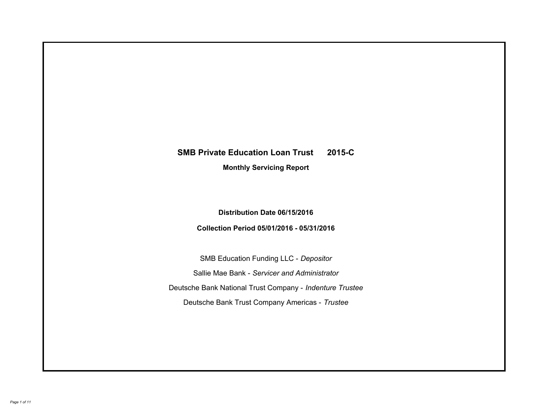# **SMB Private Education Loan Trust 2015-C Monthly Servicing Report**

## **Distribution Date 06/15/2016**

## **Collection Period 05/01/2016 - 05/31/2016**

SMB Education Funding LLC - *Depositor* Sallie Mae Bank - *Servicer and Administrator* Deutsche Bank National Trust Company - *Indenture Trustee* Deutsche Bank Trust Company Americas - *Trustee*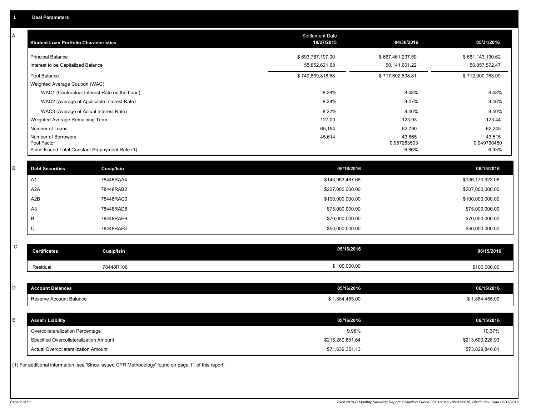| A           | <b>Student Loan Portfolio Characteristics</b>   |                                                                                                     | <b>Settlement Date</b><br>10/27/2015 | 04/30/2016            | 05/31/2016            |
|-------------|-------------------------------------------------|-----------------------------------------------------------------------------------------------------|--------------------------------------|-----------------------|-----------------------|
|             | <b>Principal Balance</b>                        |                                                                                                     | \$693,787,197.00                     | \$667,461,237.59      | \$661,143,190.62      |
|             | Interest to be Capitalized Balance              |                                                                                                     | 55,852,621.68                        | 50,141,601.22         | 50,857,572.47         |
|             | Pool Balance                                    |                                                                                                     | \$749,639,818.68                     | \$717,602,838.81      | \$712,000,763.09      |
|             | Weighted Average Coupon (WAC)                   |                                                                                                     |                                      |                       |                       |
|             |                                                 | WAC1 (Contractual Interest Rate on the Loan)                                                        | 8.28%                                | 8.48%                 | 8.48%                 |
|             |                                                 | WAC2 (Average of Applicable Interest Rate)                                                          | 8.28%                                | 8.47%                 | 8.46%                 |
|             | WAC3 (Average of Actual Interest Rate)          |                                                                                                     | 8.22%                                | 8.40%                 | 8.40%                 |
|             | Weighted Average Remaining Term                 |                                                                                                     | 127.00                               | 123.93                | 123.44                |
|             | Number of Loans                                 |                                                                                                     | 65,154                               | 62,790                | 62,245                |
|             | Number of Borrowers<br>Pool Factor              |                                                                                                     | 45,614                               | 43,865<br>0.957263503 | 43,515<br>0.949790480 |
|             | Since Issued Total Constant Prepayment Rate (1) |                                                                                                     |                                      | 6.86%                 | 6.93%                 |
|             |                                                 |                                                                                                     |                                      |                       |                       |
| B           | <b>Debt Securities</b>                          | Cusip/Isin                                                                                          | 05/16/2016                           |                       | 06/15/2016            |
|             | A <sub>1</sub>                                  | 78448RAA4                                                                                           | \$143,963,487.68                     |                       | \$136,170,923.08      |
|             | A <sub>2</sub> A                                | 78448RAB2                                                                                           | \$207,000,000.00                     |                       | \$207,000,000.00      |
|             | A2B                                             | 78448RAC0                                                                                           | \$100,000,000.00                     |                       | \$100,000,000.00      |
|             | A <sub>3</sub>                                  | 78448RAD8                                                                                           | \$75,000,000.00                      |                       | \$75,000,000.00       |
|             | B                                               | 78448RAE6                                                                                           | \$70,000,000.00                      |                       | \$70,000,000.00       |
|             | C                                               | 78448RAF3                                                                                           | \$50,000,000.00                      |                       | \$50,000,000.00       |
|             |                                                 |                                                                                                     |                                      |                       |                       |
| $\mathsf C$ | <b>Certificates</b>                             | Cusip/Isin                                                                                          | 05/16/2016                           |                       | 06/15/2016            |
|             | Residual                                        | 78448R106                                                                                           | \$100,000.00                         |                       | \$100,000.00          |
|             |                                                 |                                                                                                     |                                      |                       |                       |
| D           | <b>Account Balances</b>                         |                                                                                                     | 05/16/2016                           |                       | 06/15/2016            |
|             | Reserve Account Balance                         |                                                                                                     | \$1,884,455.00                       |                       | \$1,884,455.00        |
|             |                                                 |                                                                                                     |                                      |                       |                       |
| E           | <b>Asset / Liability</b>                        |                                                                                                     | 05/16/2016                           |                       | 06/15/2016            |
|             | Overcollateralization Percentage                |                                                                                                     | 9.98%                                |                       | 10.37%                |
|             | Specified Overcollateralization Amount          |                                                                                                     | \$215,280,851.64                     |                       | \$213,600,228.93      |
|             | <b>Actual Overcollateralization Amount</b>      |                                                                                                     | \$71,639,351.13                      |                       | \$73,829,840.01       |
|             |                                                 | (1) For additional information, see 'Since Issued CPR Methodology' found on page 11 of this report. |                                      |                       |                       |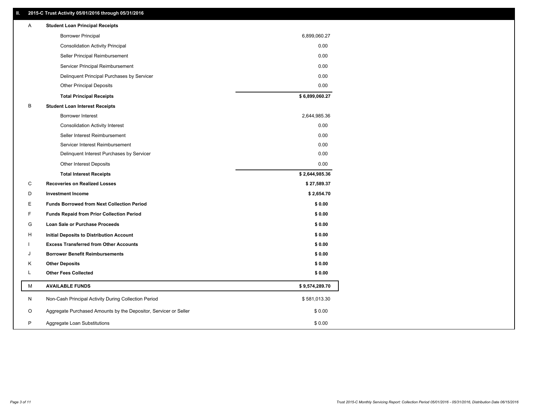### **II. 2015-C Trust Activity 05/01/2016 through 05/31/2016**

| Α | <b>Student Loan Principal Receipts</b>                           |                |
|---|------------------------------------------------------------------|----------------|
|   | <b>Borrower Principal</b>                                        | 6,899,060.27   |
|   | <b>Consolidation Activity Principal</b>                          | 0.00           |
|   | Seller Principal Reimbursement                                   | 0.00           |
|   | Servicer Principal Reimbursement                                 | 0.00           |
|   | Delinquent Principal Purchases by Servicer                       | 0.00           |
|   | <b>Other Principal Deposits</b>                                  | 0.00           |
|   | <b>Total Principal Receipts</b>                                  | \$6,899,060.27 |
| B | <b>Student Loan Interest Receipts</b>                            |                |
|   | <b>Borrower Interest</b>                                         | 2,644,985.36   |
|   | <b>Consolidation Activity Interest</b>                           | 0.00           |
|   | Seller Interest Reimbursement                                    | 0.00           |
|   | Servicer Interest Reimbursement                                  | 0.00           |
|   | Delinquent Interest Purchases by Servicer                        | 0.00           |
|   | <b>Other Interest Deposits</b>                                   | 0.00           |
|   | <b>Total Interest Receipts</b>                                   | \$2,644,985.36 |
| C | <b>Recoveries on Realized Losses</b>                             | \$27,589.37    |
| D | <b>Investment Income</b>                                         | \$2,654.70     |
| Е | <b>Funds Borrowed from Next Collection Period</b>                | \$0.00         |
| F | <b>Funds Repaid from Prior Collection Period</b>                 | \$0.00         |
| G | Loan Sale or Purchase Proceeds                                   | \$0.00         |
| н | Initial Deposits to Distribution Account                         | \$0.00         |
|   | <b>Excess Transferred from Other Accounts</b>                    | \$0.00         |
| J | <b>Borrower Benefit Reimbursements</b>                           | \$0.00         |
| Κ | <b>Other Deposits</b>                                            | \$0.00         |
| L | <b>Other Fees Collected</b>                                      | \$0.00         |
| М | <b>AVAILABLE FUNDS</b>                                           | \$9,574,289.70 |
| N | Non-Cash Principal Activity During Collection Period             | \$581,013.30   |
| O | Aggregate Purchased Amounts by the Depositor, Servicer or Seller | \$0.00         |
| P | Aggregate Loan Substitutions                                     | \$0.00         |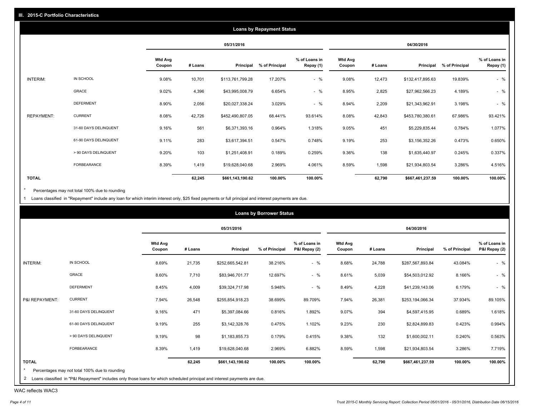|              |                       |                          |         |                  | <b>Loans by Repayment Status</b> |                            |                          |         |                  |                |                            |
|--------------|-----------------------|--------------------------|---------|------------------|----------------------------------|----------------------------|--------------------------|---------|------------------|----------------|----------------------------|
|              |                       |                          |         | 05/31/2016       |                                  |                            |                          |         | 04/30/2016       |                |                            |
|              |                       | <b>Wtd Avg</b><br>Coupon | # Loans | Principal        | % of Principal                   | % of Loans in<br>Repay (1) | <b>Wtd Avg</b><br>Coupon | # Loans | Principal        | % of Principal | % of Loans in<br>Repay (1) |
| INTERIM:     | IN SCHOOL             | 9.08%                    | 10,701  | \$113,761,799.28 | 17.207%                          | $-$ %                      | 9.08%                    | 12,473  | \$132,417,895.63 | 19.839%        | $-$ %                      |
|              | GRACE                 | 9.02%                    | 4,396   | \$43,995,008.79  | 6.654%                           | $-$ %                      | 8.95%                    | 2,825   | \$27,962,566.23  | 4.189%         | $-$ %                      |
|              | <b>DEFERMENT</b>      | 8.90%                    | 2,056   | \$20,027,338.24  | 3.029%                           | $-$ %                      | 8.94%                    | 2,209   | \$21,343,962.91  | 3.198%         | $-$ %                      |
| REPAYMENT:   | <b>CURRENT</b>        | 8.08%                    | 42,726  | \$452,490,807.05 | 68.441%                          | 93.614%                    | 8.08%                    | 42,843  | \$453,780,380.61 | 67.986%        | 93.421%                    |
|              | 31-60 DAYS DELINQUENT | 9.16%                    | 561     | \$6,371,393.16   | 0.964%                           | 1.318%                     | 9.05%                    | 451     | \$5,229,835.44   | 0.784%         | 1.077%                     |
|              | 61-90 DAYS DELINQUENT | 9.11%                    | 283     | \$3,617,394.51   | 0.547%                           | 0.748%                     | 9.19%                    | 253     | \$3,156,352.26   | 0.473%         | 0.650%                     |
|              | > 90 DAYS DELINQUENT  | 9.20%                    | 103     | \$1,251,408.91   | 0.189%                           | 0.259%                     | 9.36%                    | 138     | \$1,635,440.97   | 0.245%         | 0.337%                     |
|              | <b>FORBEARANCE</b>    | 8.39%                    | 1,419   | \$19,628,040.68  | 2.969%                           | 4.061%                     | 8.59%                    | 1,598   | \$21,934,803.54  | 3.286%         | 4.516%                     |
| <b>TOTAL</b> |                       |                          | 62,245  | \$661,143,190.62 | 100.00%                          | 100.00%                    |                          | 62,790  | \$667,461,237.59 | 100.00%        | 100.00%                    |

Percentages may not total 100% due to rounding  $^\star$ 

1 Loans classified in "Repayment" include any loan for which interim interest only, \$25 fixed payments or full principal and interest payments are due.

|                |                       |                          |         | 05/31/2016       |                |                                |                          |         | 04/30/2016       |                |                                |
|----------------|-----------------------|--------------------------|---------|------------------|----------------|--------------------------------|--------------------------|---------|------------------|----------------|--------------------------------|
|                |                       | <b>Wtd Avg</b><br>Coupon | # Loans | Principal        | % of Principal | % of Loans in<br>P&I Repay (2) | <b>Wtd Avg</b><br>Coupon | # Loans | Principal        | % of Principal | % of Loans in<br>P&I Repay (2) |
| INTERIM:       | IN SCHOOL             | 8.69%                    | 21,735  | \$252,665,542.81 | 38.216%        | $-$ %                          | 8.68%                    | 24,788  | \$287,567,893.84 | 43.084%        | $-$ %                          |
|                | GRACE                 | 8.60%                    | 7,710   | \$83,946,701.77  | 12.697%        | $-$ %                          | 8.61%                    | 5,039   | \$54,503,012.92  | 8.166%         | $-$ %                          |
|                | <b>DEFERMENT</b>      | 8.45%                    | 4,009   | \$39,324,717.98  | 5.948%         | $-$ %                          | 8.49%                    | 4,228   | \$41,239,143.06  | 6.179%         | $-$ %                          |
| P&I REPAYMENT: | <b>CURRENT</b>        | 7.94%                    | 26,548  | \$255,854,918.23 | 38.699%        | 89.709%                        | 7.94%                    | 26,381  | \$253,194,066.34 | 37.934%        | 89.105%                        |
|                | 31-60 DAYS DELINQUENT | 9.16%                    | 471     | \$5,397,084.66   | 0.816%         | 1.892%                         | 9.07%                    | 394     | \$4,597,415.95   | 0.689%         | 1.618%                         |
|                | 61-90 DAYS DELINQUENT | 9.19%                    | 255     | \$3,142,328.76   | 0.475%         | 1.102%                         | 9.23%                    | 230     | \$2,824,899.83   | 0.423%         | 0.994%                         |
|                | > 90 DAYS DELINQUENT  | 9.19%                    | 98      | \$1,183,855.73   | 0.179%         | 0.415%                         | 9.38%                    | 132     | \$1,600,002.11   | 0.240%         | 0.563%                         |
|                | FORBEARANCE           | 8.39%                    | 1,419   | \$19,628,040.68  | 2.969%         | 6.882%                         | 8.59%                    | 1,598   | \$21,934,803.54  | 3.286%         | 7.719%                         |
| <b>TOTAL</b>   |                       |                          | 62,245  | \$661,143,190.62 | 100.00%        | 100.00%                        |                          | 62,790  | \$667,461,237.59 | 100.00%        | 100.00%                        |

WAC reflects WAC3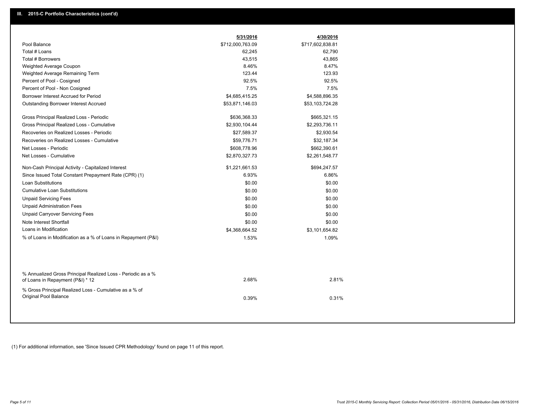|                                                                                                  | 5/31/2016        | 4/30/2016        |  |
|--------------------------------------------------------------------------------------------------|------------------|------------------|--|
| Pool Balance                                                                                     | \$712,000,763.09 | \$717,602,838.81 |  |
| Total # Loans                                                                                    | 62,245           | 62,790           |  |
| Total # Borrowers                                                                                | 43,515           | 43,865           |  |
| Weighted Average Coupon                                                                          | 8.46%            | 8.47%            |  |
| Weighted Average Remaining Term                                                                  | 123.44           | 123.93           |  |
| Percent of Pool - Cosigned                                                                       | 92.5%            | 92.5%            |  |
| Percent of Pool - Non Cosigned                                                                   | 7.5%             | 7.5%             |  |
| Borrower Interest Accrued for Period                                                             | \$4,685,415.25   | \$4,588,896.35   |  |
| <b>Outstanding Borrower Interest Accrued</b>                                                     | \$53,871,146.03  | \$53,103,724.28  |  |
| Gross Principal Realized Loss - Periodic                                                         | \$636,368.33     | \$665,321.15     |  |
| Gross Principal Realized Loss - Cumulative                                                       | \$2,930,104.44   | \$2,293,736.11   |  |
| Recoveries on Realized Losses - Periodic                                                         | \$27,589.37      | \$2,930.54       |  |
| Recoveries on Realized Losses - Cumulative                                                       | \$59,776.71      | \$32,187.34      |  |
| Net Losses - Periodic                                                                            | \$608,778.96     | \$662,390.61     |  |
| Net Losses - Cumulative                                                                          | \$2,870,327.73   | \$2,261,548.77   |  |
| Non-Cash Principal Activity - Capitalized Interest                                               | \$1,221,661.53   | \$694,247.57     |  |
| Since Issued Total Constant Prepayment Rate (CPR) (1)                                            | 6.93%            | 6.86%            |  |
| Loan Substitutions                                                                               | \$0.00           | \$0.00           |  |
| <b>Cumulative Loan Substitutions</b>                                                             | \$0.00           | \$0.00           |  |
| <b>Unpaid Servicing Fees</b>                                                                     | \$0.00           | \$0.00           |  |
| <b>Unpaid Administration Fees</b>                                                                | \$0.00           | \$0.00           |  |
| <b>Unpaid Carryover Servicing Fees</b>                                                           | \$0.00           | \$0.00           |  |
| Note Interest Shortfall                                                                          | \$0.00           | \$0.00           |  |
| Loans in Modification                                                                            | \$4,368,664.52   | \$3,101,654.82   |  |
| % of Loans in Modification as a % of Loans in Repayment (P&I)                                    | 1.53%            | 1.09%            |  |
|                                                                                                  |                  |                  |  |
| % Annualized Gross Principal Realized Loss - Periodic as a %<br>of Loans in Repayment (P&I) * 12 | 2.68%            | 2.81%            |  |
| % Gross Principal Realized Loss - Cumulative as a % of<br>Original Pool Balance                  | 0.39%            | 0.31%            |  |

(1) For additional information, see 'Since Issued CPR Methodology' found on page 11 of this report.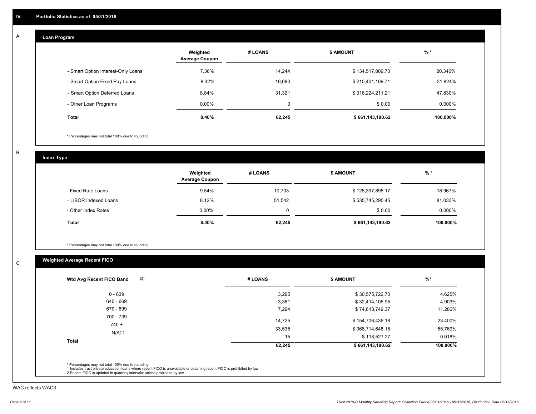#### **Loan Program**  A

|                                    | Weighted<br><b>Average Coupon</b> | # LOANS | <b>\$ AMOUNT</b> | $%$ *     |
|------------------------------------|-----------------------------------|---------|------------------|-----------|
| - Smart Option Interest-Only Loans | 7.36%                             | 14.244  | \$134,517,809.70 | 20.346%   |
| - Smart Option Fixed Pay Loans     | 8.32%                             | 16,680  | \$210,401,169.71 | 31.824%   |
| - Smart Option Deferred Loans      | 8.84%                             | 31.321  | \$316,224,211.21 | 47.830%   |
| - Other Loan Programs              | $0.00\%$                          | 0       | \$0.00           | $0.000\%$ |
| <b>Total</b>                       | $8.40\%$                          | 62,245  | \$661,143,190.62 | 100.000%  |

\* Percentages may not total 100% due to rounding

B

C

**Index Type**

|                       | Weighted<br><b>Average Coupon</b> | # LOANS | \$ AMOUNT        | $%$ *     |
|-----------------------|-----------------------------------|---------|------------------|-----------|
| - Fixed Rate Loans    | 9.54%                             | 10,703  | \$125,397,895.17 | 18.967%   |
| - LIBOR Indexed Loans | 8.12%                             | 51,542  | \$535,745,295.45 | 81.033%   |
| - Other Index Rates   | $0.00\%$                          | 0       | \$0.00           | $0.000\%$ |
| Total                 | 8.40%                             | 62,245  | \$661,143,190.62 | 100.000%  |

\* Percentages may not total 100% due to rounding

## **Weighted Average Recent FICO**

| (2)<br>Wtd Avg Recent FICO Band | # LOANS | <b>\$ AMOUNT</b> | $%$ *    |
|---------------------------------|---------|------------------|----------|
| $0 - 639$                       | 3,295   | \$30,575,722.70  | 4.625%   |
| 640 - 669                       | 3,381   | \$32,414,106.95  | 4.903%   |
| 670 - 699                       | 7,294   | \$74,613,749.37  | 11.286%  |
| 700 - 739<br>$740 +$            | 14,725  | \$154,706,436.18 | 23.400%  |
|                                 | 33,535  | \$368,714,648.15 | 55.769%  |
| N/A(1)                          | 15      | \$118,527.27     | 0.018%   |
| <b>Total</b>                    | 62,245  | \$661,143,190.62 | 100.000% |

WAC reflects WAC3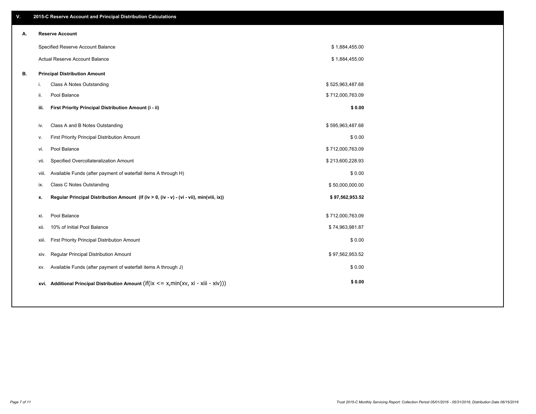| ۷. |       | 2015-C Reserve Account and Principal Distribution Calculations                             |                  |  |
|----|-------|--------------------------------------------------------------------------------------------|------------------|--|
| А. |       | <b>Reserve Account</b>                                                                     |                  |  |
|    |       | Specified Reserve Account Balance                                                          | \$1,884,455.00   |  |
|    |       | Actual Reserve Account Balance                                                             | \$1,884,455.00   |  |
| В. |       | <b>Principal Distribution Amount</b>                                                       |                  |  |
|    | i.    | Class A Notes Outstanding                                                                  | \$525,963,487.68 |  |
|    | ii.   | Pool Balance                                                                               | \$712,000,763.09 |  |
|    | iii.  | First Priority Principal Distribution Amount (i - ii)                                      | \$0.00           |  |
|    |       |                                                                                            |                  |  |
|    | iv.   | Class A and B Notes Outstanding                                                            | \$595,963,487.68 |  |
|    | v.    | First Priority Principal Distribution Amount                                               | \$0.00           |  |
|    | vi.   | Pool Balance                                                                               | \$712,000,763.09 |  |
|    | vii.  | Specified Overcollateralization Amount                                                     | \$213,600,228.93 |  |
|    | viii. | Available Funds (after payment of waterfall items A through H)                             | \$0.00           |  |
|    | ix.   | Class C Notes Outstanding                                                                  | \$50,000,000.00  |  |
|    | x.    | Regular Principal Distribution Amount (if (iv > 0, (iv - v) - (vi - vii), min(viii, ix))   | \$97,562,953.52  |  |
|    | xi.   | Pool Balance                                                                               | \$712,000,763.09 |  |
|    |       |                                                                                            |                  |  |
|    | xii.  | 10% of Initial Pool Balance                                                                | \$74,963,981.87  |  |
|    | xiii. | First Priority Principal Distribution Amount                                               | \$0.00           |  |
|    | xiv.  | Regular Principal Distribution Amount                                                      | \$97,562,953.52  |  |
|    | XV.   | Available Funds (after payment of waterfall items A through J)                             | \$0.00           |  |
|    |       | xvi. Additional Principal Distribution Amount (if(ix $\lt$ = x, min(xv, xi - xiii - xiv))) | \$0.00           |  |
|    |       |                                                                                            |                  |  |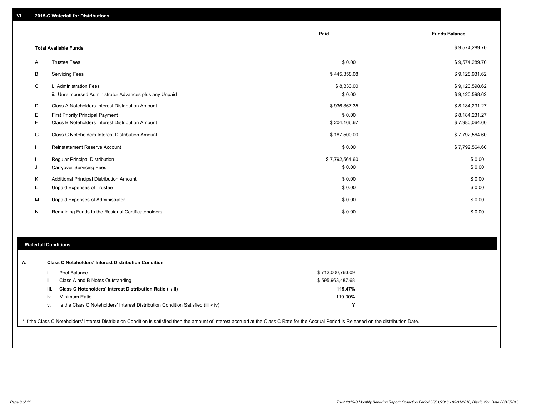|    |                                                                                   | Paid                 | <b>Funds Balance</b>             |
|----|-----------------------------------------------------------------------------------|----------------------|----------------------------------|
|    | <b>Total Available Funds</b>                                                      |                      | \$9,574,289.70                   |
| A  | <b>Trustee Fees</b>                                                               | \$0.00               | \$9,574,289.70                   |
| B  | <b>Servicing Fees</b>                                                             | \$445,358.08         | \$9,128,931.62                   |
| C  | i. Administration Fees<br>ii. Unreimbursed Administrator Advances plus any Unpaid | \$8,333.00<br>\$0.00 | \$9,120,598.62<br>\$9,120,598.62 |
| D  | Class A Noteholders Interest Distribution Amount                                  | \$936,367.35         | \$8,184,231.27                   |
| Ε  | <b>First Priority Principal Payment</b>                                           | \$0.00               | \$8,184,231.27                   |
| F  | Class B Noteholders Interest Distribution Amount                                  | \$204,166.67         | \$7,980,064.60                   |
| G  | Class C Noteholders Interest Distribution Amount                                  | \$187,500.00         | \$7,792,564.60                   |
| н  | <b>Reinstatement Reserve Account</b>                                              | \$0.00               | \$7,792,564.60                   |
|    | <b>Regular Principal Distribution</b>                                             | \$7,792,564.60       | \$0.00                           |
| J  | <b>Carryover Servicing Fees</b>                                                   | \$0.00               | \$0.00                           |
| Κ  | Additional Principal Distribution Amount                                          | \$0.00               | \$0.00                           |
| L. | Unpaid Expenses of Trustee                                                        | \$0.00               | \$0.00                           |
| М  | Unpaid Expenses of Administrator                                                  | \$0.00               | \$0.00                           |
| N  | Remaining Funds to the Residual Certificateholders                                | \$0.00               | \$0.00                           |

#### **Waterfall Conditions**

|      | Pool Balance                                                                       | \$712,000,763.09 |  |
|------|------------------------------------------------------------------------------------|------------------|--|
| H.   | Class A and B Notes Outstanding                                                    | \$595,963,487.68 |  |
| iii. | Class C Noteholders' Interest Distribution Ratio (i / ii)                          | 119.47%          |  |
| iv.  | Minimum Ratio                                                                      | 110.00%          |  |
| ν.   | Is the Class C Noteholders' Interest Distribution Condition Satisfied (iii $>$ iv) | v                |  |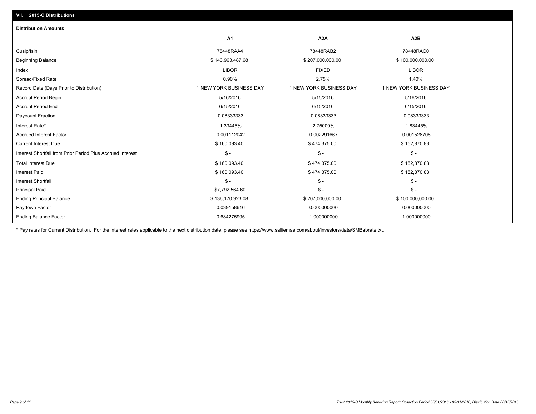| <b>Distribution Amounts</b>                                |                         |                         |                         |
|------------------------------------------------------------|-------------------------|-------------------------|-------------------------|
|                                                            | A <sub>1</sub>          | A <sub>2</sub> A        | A2B                     |
| Cusip/Isin                                                 | 78448RAA4               | 78448RAB2               | 78448RAC0               |
| <b>Beginning Balance</b>                                   | \$143,963,487.68        | \$207,000,000.00        | \$100,000,000.00        |
| Index                                                      | <b>LIBOR</b>            | <b>FIXED</b>            | <b>LIBOR</b>            |
| Spread/Fixed Rate                                          | 0.90%                   | 2.75%                   | 1.40%                   |
| Record Date (Days Prior to Distribution)                   | 1 NEW YORK BUSINESS DAY | 1 NEW YORK BUSINESS DAY | 1 NEW YORK BUSINESS DAY |
| <b>Accrual Period Begin</b>                                | 5/16/2016               | 5/15/2016               | 5/16/2016               |
| <b>Accrual Period End</b>                                  | 6/15/2016               | 6/15/2016               | 6/15/2016               |
| Daycount Fraction                                          | 0.08333333              | 0.08333333              | 0.08333333              |
| Interest Rate*                                             | 1.33445%                | 2.75000%                | 1.83445%                |
| <b>Accrued Interest Factor</b>                             | 0.001112042             | 0.002291667             | 0.001528708             |
| <b>Current Interest Due</b>                                | \$160,093.40            | \$474,375.00            | \$152,870.83            |
| Interest Shortfall from Prior Period Plus Accrued Interest | $\mathsf{\$}$ -         | $\mathcal{S}$ -         | $\mathcal{S}$ -         |
| <b>Total Interest Due</b>                                  | \$160,093.40            | \$474,375.00            | \$152,870.83            |
| <b>Interest Paid</b>                                       | \$160,093.40            | \$474,375.00            | \$152,870.83            |
| <b>Interest Shortfall</b>                                  | $S -$                   | $\mathcal{S}$ -         | $\mathcal{S}$ -         |
| <b>Principal Paid</b>                                      | \$7,792,564.60          | $\mathsf{\$}$ -         | $\mathcal{S}$ -         |
| <b>Ending Principal Balance</b>                            | \$136,170,923.08        | \$207,000,000.00        | \$100,000,000.00        |
| Paydown Factor                                             | 0.039158616             | 0.000000000             | 0.000000000             |
| <b>Ending Balance Factor</b>                               | 0.684275995             | 1.000000000             | 1.000000000             |

\* Pay rates for Current Distribution. For the interest rates applicable to the next distribution date, please see https://www.salliemae.com/about/investors/data/SMBabrate.txt.

**VII. 2015-C Distributions**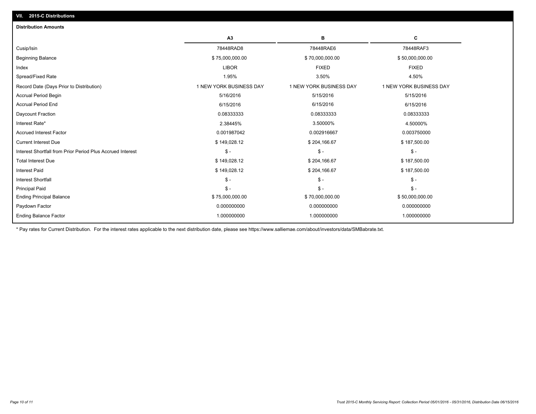| <b>Distribution Amounts</b>                                |                         |                         |                         |
|------------------------------------------------------------|-------------------------|-------------------------|-------------------------|
|                                                            | A <sub>3</sub>          | в                       | c                       |
| Cusip/Isin                                                 | 78448RAD8               | 78448RAE6               | 78448RAF3               |
| Beginning Balance                                          | \$75,000,000.00         | \$70,000,000.00         | \$50,000,000.00         |
| Index                                                      | <b>LIBOR</b>            | <b>FIXED</b>            | <b>FIXED</b>            |
| Spread/Fixed Rate                                          | 1.95%                   | 3.50%                   | 4.50%                   |
| Record Date (Days Prior to Distribution)                   | 1 NEW YORK BUSINESS DAY | 1 NEW YORK BUSINESS DAY | 1 NEW YORK BUSINESS DAY |
| <b>Accrual Period Begin</b>                                | 5/16/2016               | 5/15/2016               | 5/15/2016               |
| <b>Accrual Period End</b>                                  | 6/15/2016               | 6/15/2016               | 6/15/2016               |
| Daycount Fraction                                          | 0.08333333              | 0.08333333              | 0.08333333              |
| Interest Rate*                                             | 2.38445%                | 3.50000%                | 4.50000%                |
| <b>Accrued Interest Factor</b>                             | 0.001987042             | 0.002916667             | 0.003750000             |
| <b>Current Interest Due</b>                                | \$149,028.12            | \$204,166.67            | \$187,500.00            |
| Interest Shortfall from Prior Period Plus Accrued Interest | $S -$                   | $$ -$                   | $\mathcal{S}$ -         |
| <b>Total Interest Due</b>                                  | \$149,028.12            | \$204,166.67            | \$187,500.00            |
| <b>Interest Paid</b>                                       | \$149,028.12            | \$204,166.67            | \$187,500.00            |
| <b>Interest Shortfall</b>                                  | $S -$                   | $\mathcal{S}$ -         | $\mathsf{\$}$ -         |
| <b>Principal Paid</b>                                      | $S -$                   | $\mathsf{\$}$ -         | $\mathsf{\$}$ -         |
| <b>Ending Principal Balance</b>                            | \$75,000,000.00         | \$70,000,000.00         | \$50,000,000.00         |
| Paydown Factor                                             | 0.000000000             | 0.000000000             | 0.000000000             |
| <b>Ending Balance Factor</b>                               | 1.000000000             | 1.000000000             | 1.000000000             |

\* Pay rates for Current Distribution. For the interest rates applicable to the next distribution date, please see https://www.salliemae.com/about/investors/data/SMBabrate.txt.

**VII. 2015-C Distributions**